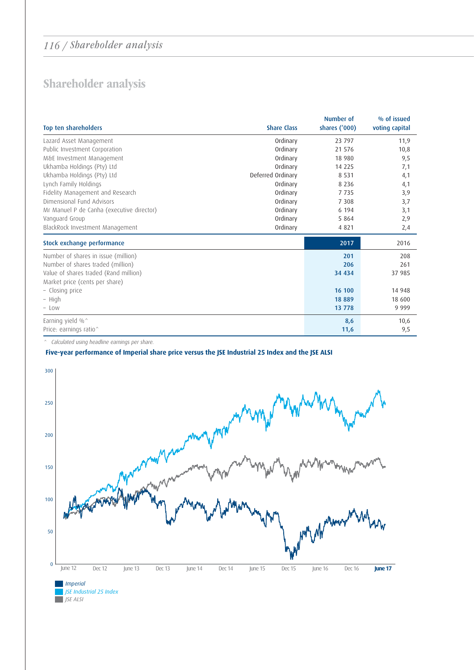## 116 / Shareholder analysis

## Shareholder analysis

| Top ten shareholders                      | <b>Share Class</b> | Number of<br>shares ('000) | % of issued<br>voting capital |
|-------------------------------------------|--------------------|----------------------------|-------------------------------|
| Lazard Asset Management                   | Ordinary           | 23 797                     | 11,9                          |
| Public Investment Corporation             | Ordinary           | 21 576                     | 10,8                          |
| M&E Investment Management                 | Ordinary           | 18 980                     | 9,5                           |
| Ukhamba Holdings (Pty) Ltd                | Ordinary           | 14 2 2 5                   | 7,1                           |
| Ukhamba Holdings (Pty) Ltd                | Deferred Ordinary  | 8 5 3 1                    | 4,1                           |
| Lynch Family Holdings                     | Ordinary           | 8 2 3 6                    | 4,1                           |
| Fidelity Management and Research          | Ordinary           | 7735                       | 3,9                           |
| Dimensional Fund Advisors                 | Ordinary           | 7 3 0 8                    | 3,7                           |
| Mr Manuel P de Canha (executive director) | Ordinary           | 6 1 9 4                    | 3,1                           |
| Vanguard Group                            | Ordinary           | 5 8 6 4                    | 2,9                           |
| BlackRock Investment Management           | Ordinary           | 4821                       | 2,4                           |
| Stock exchange performance                |                    | 2017                       | 2016                          |
| Number of shares in issue (million)       |                    | 201                        | 208                           |
| Number of shares traded (million)         |                    | 206                        | 261                           |
| Value of shares traded (Rand million)     |                    | 34 4 34                    | 37 985                        |
| Market price (cents per share)            |                    |                            |                               |
| - Closing price                           |                    | 16 100                     | 14 948                        |
| - High                                    |                    | 18889                      | 18 600                        |
| $-$ Low                                   |                    | 13 778                     | 9 9 9 9                       |
| Earning yield %^                          |                    | 8,6                        | 10,6                          |
| Price: earnings ratio^                    |                    | 11,6                       | 9,5                           |

^ Calculated using headline earnings per share.

## **Five-year performance of Imperial share price versus the JSE Industrial 25 Index and the JSE ALSI**



Q *JSE Industrial 25 Index* Q *JSE ALSI*